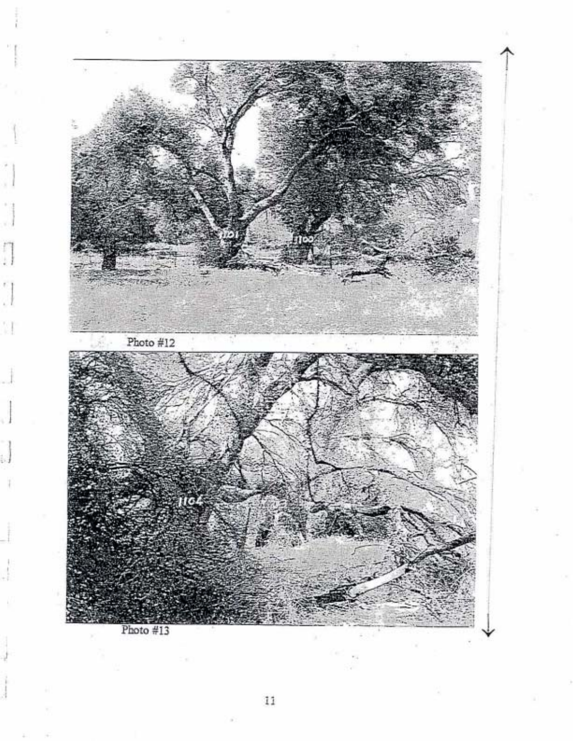

i b.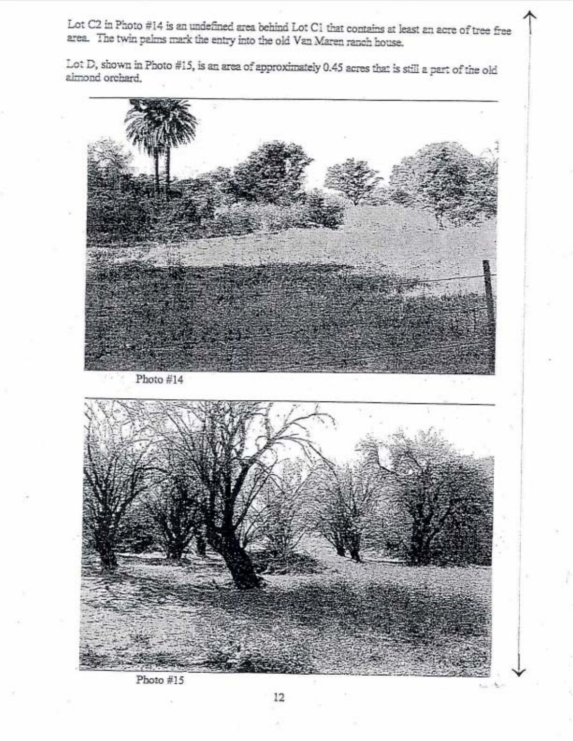Lot C2 in Photo #14 is an undefined area behind Lot C1 that contains at least an acre of tree free area. The twin palms mark the entry into the old Van Maren ranch house.

Lot D, shown in Photo #15, is an area of approximately 0.45 acres that is still a part of the old aimond orchard.



Photo #15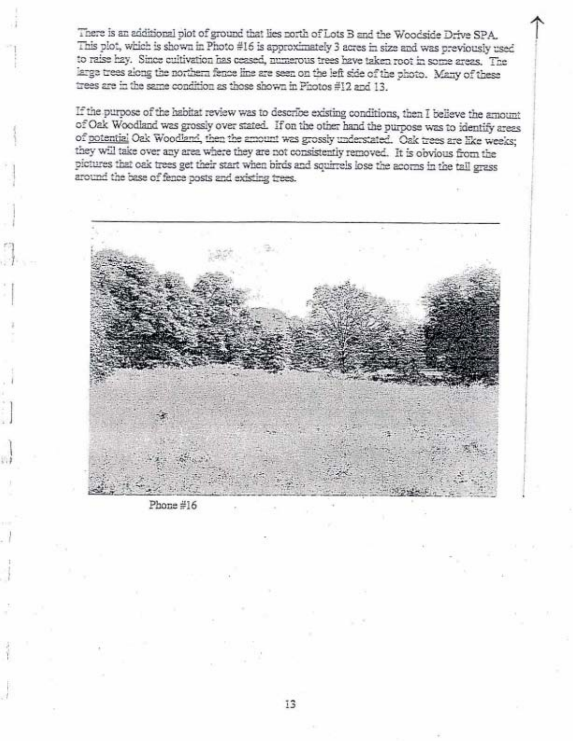There is an additional plot of ground that lies north of Lots B and the Woodside Drive SPA. This plot, which is shown in Photo #16 is approximately 3 acres in size and was previously used to raise hay. Since cultivation has ceased, numerous trees have taken root in some areas. The large trees along the northern fence line are seen on the left side of the photo. Many of these trees are in the same condition as those shown in Photos #12 and 13.

If the purpose of the habitat review was to describe existing conditions, then I believe the amount of Oak Woodland was grossly over stated. If on the other hand the purpose was to identify areas of potential Oak Woodland, then the amount was grossly understated. Oak trees are like weeks; they will take over any area where they are not consistently removed. It is obvious from the pictures that oak trees get their start when birds and squirrels lose the acorns in the tall grass around the base of fence posts and existing trees.



Phone #16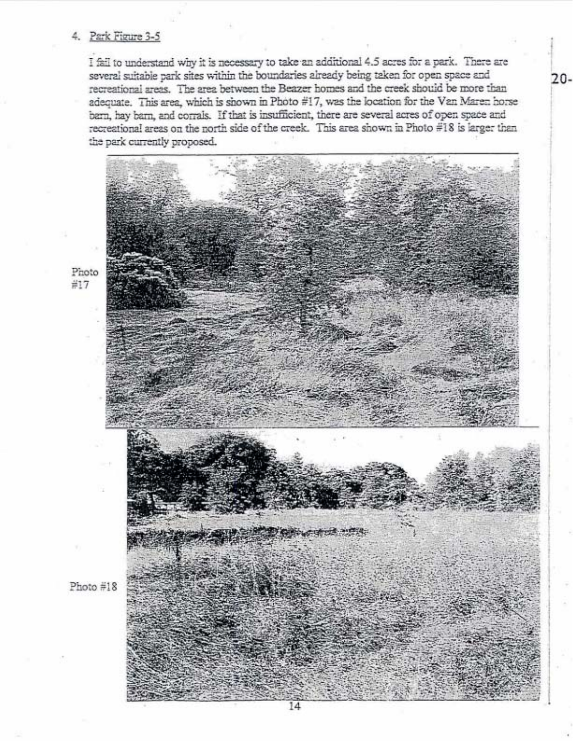## 4. Park Figure 3-5

I fail to understand why it is necessary to take an additional 4.5 acres for a park. There are several suitable park sites within the boundaries already being taken for open space and recreational areas. The area between the Beazer homes and the creek should be more than adequate. This area, which is shown in Photo #17, was the location for the Van Maren horse barn, hay barn, and corrals. If that is insufficient, there are several acres of open space and recreational areas on the north side of the creek. This area shown in Photo #18 is larger than the park currently proposed.



 $20 -$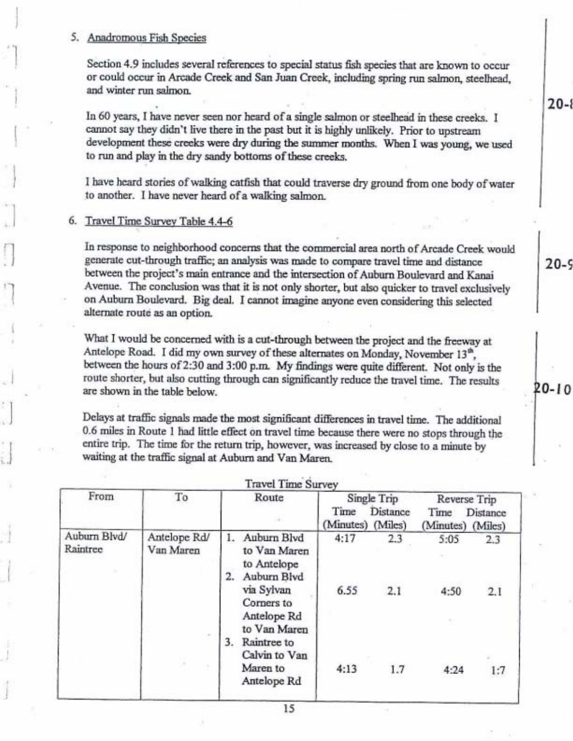#### 5. Anadromous Fish Species

Section 4.9 includes several references to special status fish species that are known to occur or could occur in Arcade Creek and San Juan Creek, including spring run salmon, steelhead, and winter run salmon.

In 60 years, I have never seen nor heard of a single salmon or steelhead in these creeks. I cannot say they didn't live there in the past but it is highly unlikely. Prior to upstream development these creeks were dry during the summer months. When I was young, we used to run and play in the dry sandy bottoms of these creeks.

I have heard stories of walking catfish that could traverse dry ground from one body of water to another. I have never heard of a walking salmon.

# 6. Travel Time Survey Table 4.4-6

In response to neighborhood concerns that the commercial area north of Arcade Creek would generate cut-through traffic; an analysis was made to compare travel time and distance between the project's main entrance and the intersection of Auburn Boulevard and Kanai Avenue. The conclusion was that it is not only shorter, but also quicker to travel exclusively on Auburn Boulevard. Big deal. I cannot imagine anyone even considering this selected alternate route as an option.

What I would be concerned with is a cut-through between the project and the freeway at Antelope Road. I did my own survey of these alternates on Monday, November 13<sup>th</sup>, between the hours of 2:30 and 3:00 p.m. My findings were quite different. Not only is the route shorter, but also cutting through can significantly reduce the travel time. The results are shown in the table below.

Delays at traffic signals made the most significant differences in travel time. The additional 0.6 miles in Route 1 had little effect on travel time because there were no stops through the entire trip. The time for the return trip, however, was increased by close to a minute by waiting at the traffic signal at Auburn and Van Maren.

| From                     | To                        | Route                                                                                                | Single Trip       |                     | Reverse Trip              |            |
|--------------------------|---------------------------|------------------------------------------------------------------------------------------------------|-------------------|---------------------|---------------------------|------------|
|                          |                           |                                                                                                      | Time<br>(Minutes) | Distance<br>(Miles) | Time<br>(Minutes) (Miles) | Distance   |
| Auburn Blvd/<br>Raintree | Antelope Rd/<br>Van Maren | Auburn Blvd<br>to Van Maren<br>to Antelope<br>Auburn Blvd<br>via Sylvan<br>Corners to<br>Antelope Rd | 4:17<br>6.55      | 2.3<br>2.1          | 5:05<br>4:50              | 2.3<br>2.1 |
|                          |                           | to Van Maren<br>3.<br>Raintree to<br>Calvin to Van<br>Maren to<br>Antelope Rd                        | 4:13              | 1.7                 | 4:24                      | 1:7        |

 $20 - 8$ 

 $20 - 9$ 

20-10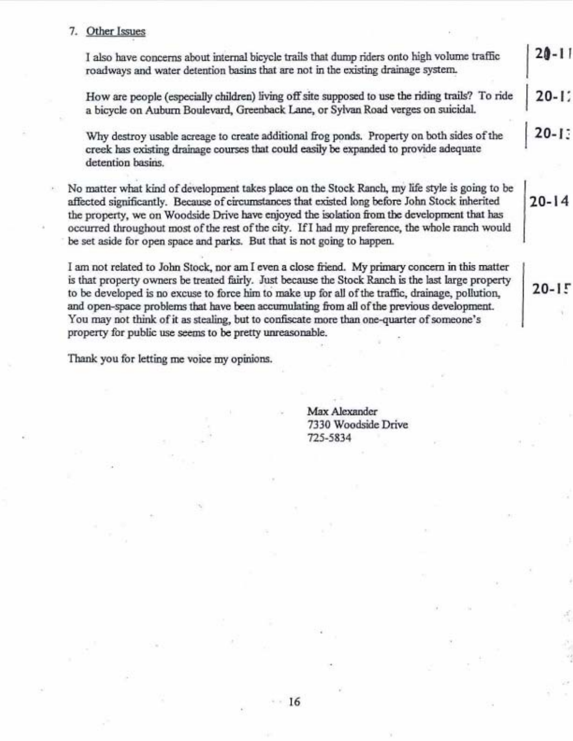## 7. Other Issues

 $20 - 11$ I also have concerns about internal bicycle trails that dump riders onto high volume traffic roadways and water detention basins that are not in the existing drainage system.

How are people (especially children) living off site supposed to use the riding trails? To ride  $20 - 12$ a bicycle on Auburn Boulevard, Greenback Lane, or Sylvan Road verges on suicidal.

Why destroy usable acreage to create additional frog ponds. Property on both sides of the creek has existing drainage courses that could easily be expanded to provide adequate detention basins.

No matter what kind of development takes place on the Stock Ranch, my life style is going to be affected significantly. Because of circumstances that existed long before John Stock inherited the property, we on Woodside Drive have enjoyed the isolation from the development that has occurred throughout most of the rest of the city. If I had my preference, the whole ranch would be set aside for open space and parks. But that is not going to happen.

I am not related to John Stock, nor am I even a close friend. My primary concern in this matter is that property owners be treated fairly. Just because the Stock Ranch is the last large property to be developed is no excuse to force him to make up for all of the traffic, drainage, pollution, and open-space problems that have been accumulating from all of the previous development. You may not think of it as stealing, but to confiscate more than one-quarter of someone's property for public use seems to be pretty unreasonable.

16

Thank you for letting me voice my opinions.

Max Alexander 7330 Woodside Drive 725-5834

 $20 - 14$ 

 $20 - 15$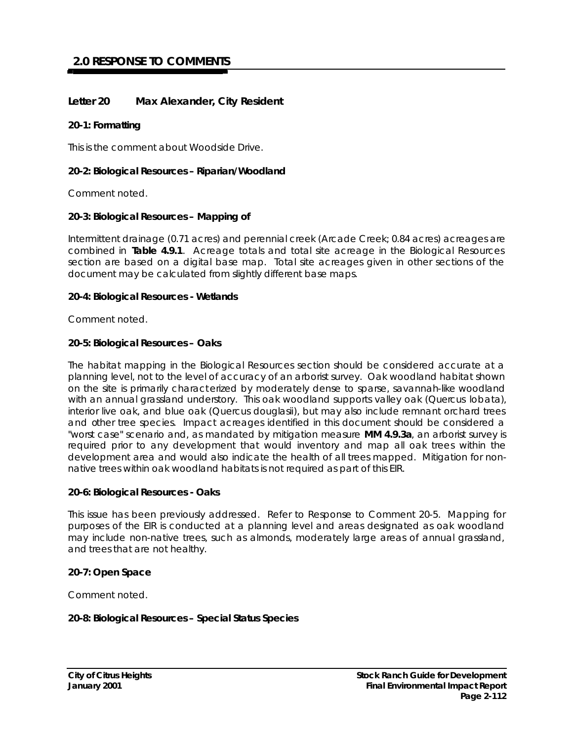# **2.0 RESPONSE TO COMMENTS**

# **Letter 20 Max Alexander, City Resident**

#### **20-1: Formatting**

This is the comment about Woodside Drive.

## **20-2: Biological Resources – Riparian/Woodland**

Comment noted.

## **20-3: Biological Resources – Mapping of**

Intermittent drainage (0.71 acres) and perennial creek (Arcade Creek; 0.84 acres) acreages are combined in **Table 4.9.1**. Acreage totals and total site acreage in the Biological Resources section are based on a digital base map. Total site acreages given in other sections of the document may be calculated from slightly different base maps.

#### **20-4: Biological Resources - Wetlands**

Comment noted.

## **20-5: Biological Resources – Oaks**

The habitat mapping in the Biological Resources section should be considered accurate at a planning level, not to the level of accuracy of an arborist survey. Oak woodland habitat shown on the site is primarily characterized by moderately dense to sparse, savannah-like woodland with an annual grassland understory. This oak woodland supports valley oak (*Quercus lobata*), interior live oak, and blue oak (*Quercus douglasii*), but may also include remnant orchard trees and other tree species. Impact acreages identified in this document should be considered a "worst case" scenario and, as mandated by mitigation measure **MM 4.9.3a**, an arborist survey is required prior to any development that would inventory and map all oak trees within the development area and would also indicate the health of all trees mapped. Mitigation for nonnative trees within oak woodland habitats is not required as part of this EIR.

#### **20-6: Biological Resources - Oaks**

This issue has been previously addressed. Refer to Response to Comment 20-5. Mapping for purposes of the EIR is conducted at a planning level and areas designated as oak woodland may include non-native trees, such as almonds, moderately large areas of annual grassland, and trees that are not healthy.

# **20-7: Open Space**

Comment noted.

# **20-8: Biological Resources – Special Status Species**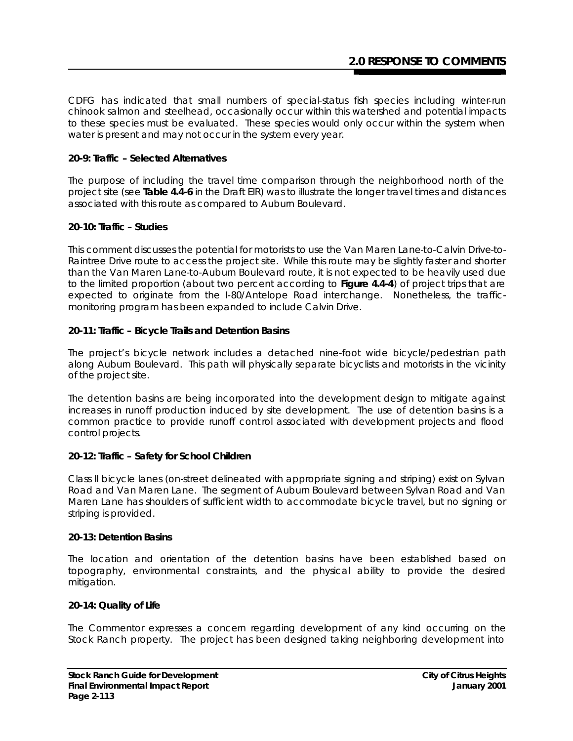CDFG has indicated that small numbers of special-status fish species including winter-run chinook salmon and steelhead, occasionally occur within this watershed and potential impacts to these species must be evaluated. These species would only occur within the system when water is present and may not occur in the system every year.

## **20-9: Traffic – Selected Alternatives**

The purpose of including the travel time comparison through the neighborhood north of the project site (see **Table 4.4-6** in the Draft EIR) was to illustrate the longer travel times and distances associated with this route as compared to Auburn Boulevard.

## **20-10: Traffic – Studies**

This comment discusses the potential for motorists to use the Van Maren Lane-to-Calvin Drive-to-Raintree Drive route to access the project site. While this route may be slightly faster and shorter than the Van Maren Lane-to-Auburn Boulevard route, it is not expected to be heavily used due to the limited proportion (about two percent according to **Figure 4.4-4**) of project trips that are expected to originate from the I-80/Antelope Road interchange. Nonetheless, the trafficmonitoring program has been expanded to include Calvin Drive.

## **20-11: Traffic – Bicycle Trails and Detention Basins**

The project's bicycle network includes a detached nine-foot wide bicycle/pedestrian path along Auburn Boulevard. This path will physically separate bicyclists and motorists in the vicinity of the project site.

The detention basins are being incorporated into the development design to mitigate against increases in runoff production induced by site development. The use of detention basins is a common practice to provide runoff cont rol associated with development projects and flood control projects.

# **20-12: Traffic – Safety for School Children**

Class II bicycle lanes (on-street delineated with appropriate signing and striping) exist on Sylvan Road and Van Maren Lane. The segment of Auburn Boulevard between Sylvan Road and Van Maren Lane has shoulders of sufficient width to accommodate bicycle travel, but no signing or striping is provided.

#### **20-13: Detention Basins**

The location and orientation of the detention basins have been established based on topography, environmental constraints, and the physical ability to provide the desired mitigation.

#### **20-14: Quality of Life**

The Commentor expresses a concern regarding development of any kind occurring on the Stock Ranch property. The project has been designed taking neighboring development into